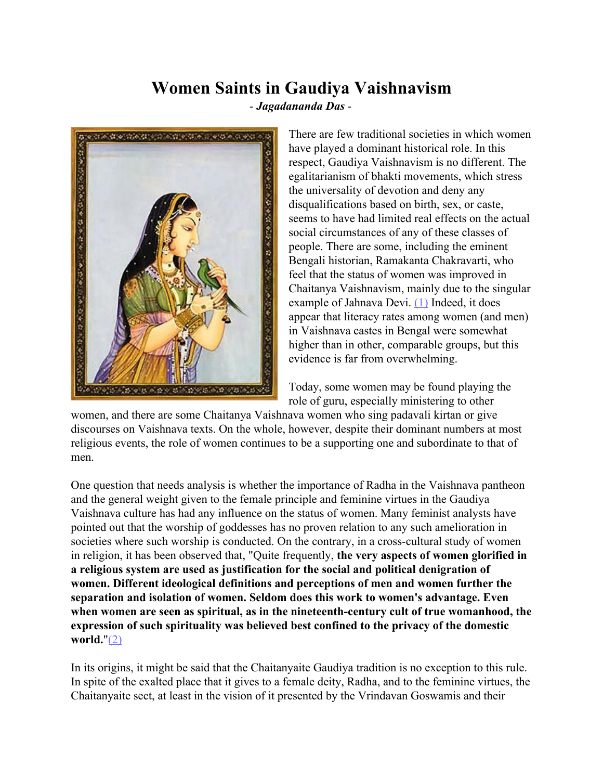# **Women Saints in Gaudiya Vaishnavism**

- *Jagadananda Das* -



There are few traditional societies in which women have played a dominant historical role. In this respect, Gaudiya Vaishnavism is no different. The egalitarianism of bhakti movements, which stress the universality of devotion and deny any disqualifications based on birth, sex, or caste, seems to have had limited real effects on the actual social circumstances of any of these classes of people. There are some, including the eminent Bengali historian, Ramakanta Chakravarti, who feel that the status of women was improved in Chaitanya Vaishnavism, mainly due to the singular example of Jahnava Devi.  $(1)$  Indeed, it does appear that literacy rates among women (and men) in Vaishnava castes in Bengal were somewhat higher than in other, comparable groups, but this evidence is far from overwhelming.

Today, some women may be found playing the role of guru, especially ministering to other

women, and there are some Chaitanya Vaishnava women who sing padavali kirtan or give discourses on Vaishnava texts. On the whole, however, despite their dominant numbers at most religious events, the role of women continues to be a supporting one and subordinate to that of men.

One question that needs analysis is whether the importance of Radha in the Vaishnava pantheon and the general weight given to the female principle and feminine virtues in the Gaudiya Vaishnava culture has had any influence on the status of women. Many feminist analysts have pointed out that the worship of goddesses has no proven relation to any such amelioration in societies where such worship is conducted. On the contrary, in a cross-cultural study of women in religion, it has been observed that, "Quite frequently, **the very aspects of women glorified in a religious system are used as justification for the social and political denigration of women. Different ideological definitions and perceptions of men and women further the separation and isolation of women. Seldom does this work to women's advantage. Even when women are seen as spiritual, as in the nineteenth-century cult of true womanhood, the expression of such spirituality was believed best confined to the privacy of the domestic world.**"[\(2\)](http://www.harekrsna.de/woman-saints.htm#2)

In its origins, it might be said that the Chaitanyaite Gaudiya tradition is no exception to this rule. In spite of the exalted place that it gives to a female deity, Radha, and to the feminine virtues, the Chaitanyaite sect, at least in the vision of it presented by the Vrindavan Goswamis and their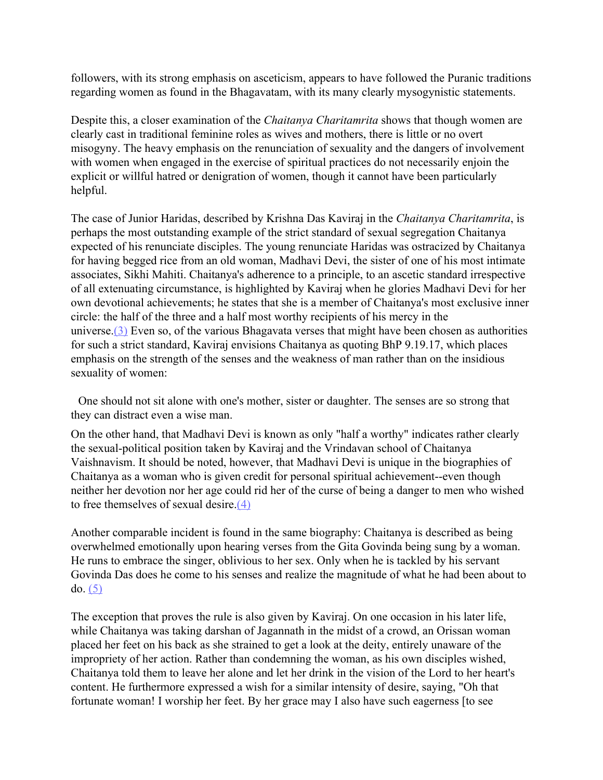followers, with its strong emphasis on asceticism, appears to have followed the Puranic traditions regarding women as found in the Bhagavatam, with its many clearly mysogynistic statements.

Despite this, a closer examination of the *Chaitanya Charitamrita* shows that though women are clearly cast in traditional feminine roles as wives and mothers, there is little or no overt misogyny. The heavy emphasis on the renunciation of sexuality and the dangers of involvement with women when engaged in the exercise of spiritual practices do not necessarily enjoin the explicit or willful hatred or denigration of women, though it cannot have been particularly helpful.

The case of Junior Haridas, described by Krishna Das Kaviraj in the *Chaitanya Charitamrita*, is perhaps the most outstanding example of the strict standard of sexual segregation Chaitanya expected of his renunciate disciples. The young renunciate Haridas was ostracized by Chaitanya for having begged rice from an old woman, Madhavi Devi, the sister of one of his most intimate associates, Sikhi Mahiti. Chaitanya's adherence to a principle, to an ascetic standard irrespective of all extenuating circumstance, is highlighted by Kaviraj when he glories Madhavi Devi for her own devotional achievements; he states that she is a member of Chaitanya's most exclusive inner circle: the half of the three and a half most worthy recipients of his mercy in the universe.[\(3\)](http://www.harekrsna.de/woman-saints.htm#3) Even so, of the various Bhagavata verses that might have been chosen as authorities for such a strict standard, Kaviraj envisions Chaitanya as quoting BhP 9.19.17, which places emphasis on the strength of the senses and the weakness of man rather than on the insidious sexuality of women:

One should not sit alone with one's mother, sister or daughter. The senses are so strong that they can distract even a wise man.

On the other hand, that Madhavi Devi is known as only "half a worthy" indicates rather clearly the sexual-political position taken by Kaviraj and the Vrindavan school of Chaitanya Vaishnavism. It should be noted, however, that Madhavi Devi is unique in the biographies of Chaitanya as a woman who is given credit for personal spiritual achievement--even though neither her devotion nor her age could rid her of the curse of being a danger to men who wished to free themselves of sexual desire.[\(4\)](http://www.harekrsna.de/woman-saints.htm#4)

Another comparable incident is found in the same biography: Chaitanya is described as being overwhelmed emotionally upon hearing verses from the Gita Govinda being sung by a woman. He runs to embrace the singer, oblivious to her sex. Only when he is tackled by his servant Govinda Das does he come to his senses and realize the magnitude of what he had been about to do. [\(5\)](http://www.harekrsna.de/woman-saints.htm#5)

The exception that proves the rule is also given by Kaviraj. On one occasion in his later life, while Chaitanya was taking darshan of Jagannath in the midst of a crowd, an Orissan woman placed her feet on his back as she strained to get a look at the deity, entirely unaware of the impropriety of her action. Rather than condemning the woman, as his own disciples wished, Chaitanya told them to leave her alone and let her drink in the vision of the Lord to her heart's content. He furthermore expressed a wish for a similar intensity of desire, saying, "Oh that fortunate woman! I worship her feet. By her grace may I also have such eagerness [to see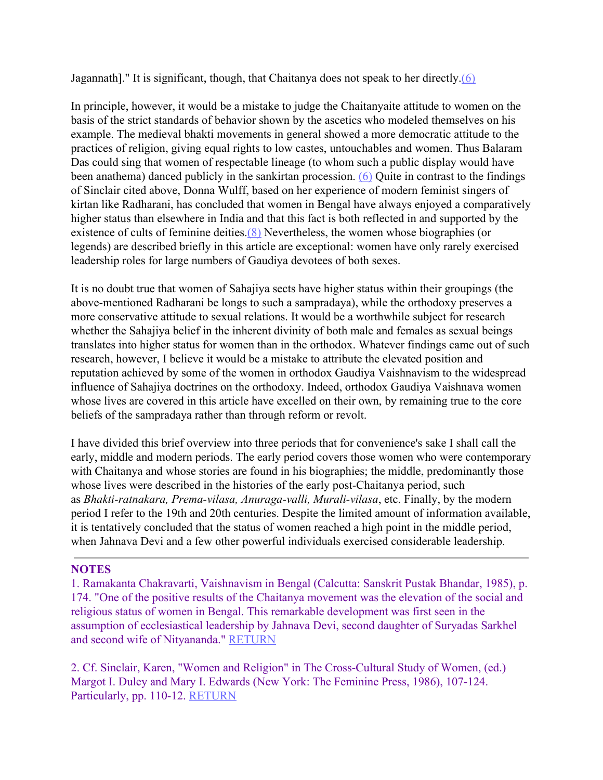Jagannath]." It is significant, though, that Chaitanya does not speak to her directly.[\(6\)](http://www.harekrsna.de/woman-saints.htm#6)

In principle, however, it would be a mistake to judge the Chaitanyaite attitude to women on the basis of the strict standards of behavior shown by the ascetics who modeled themselves on his example. The medieval bhakti movements in general showed a more democratic attitude to the practices of religion, giving equal rights to low castes, untouchables and women. Thus Balaram Das could sing that women of respectable lineage (to whom such a public display would have been anathema) danced publicly in the sankirtan procession. [\(6\)](http://www.harekrsna.de/woman-saints.htm#6) Quite in contrast to the findings of Sinclair cited above, Donna Wulff, based on her experience of modern feminist singers of kirtan like Radharani, has concluded that women in Bengal have always enjoyed a comparatively higher status than elsewhere in India and that this fact is both reflected in and supported by the existence of cults of feminine deities.<sup>(8)</sup> Nevertheless, the women whose biographies (or legends) are described briefly in this article are exceptional: women have only rarely exercised leadership roles for large numbers of Gaudiya devotees of both sexes.

It is no doubt true that women of Sahajiya sects have higher status within their groupings (the above-mentioned Radharani be longs to such a sampradaya), while the orthodoxy preserves a more conservative attitude to sexual relations. It would be a worthwhile subject for research whether the Sahajiya belief in the inherent divinity of both male and females as sexual beings translates into higher status for women than in the orthodox. Whatever findings came out of such research, however, I believe it would be a mistake to attribute the elevated position and reputation achieved by some of the women in orthodox Gaudiya Vaishnavism to the widespread influence of Sahajiya doctrines on the orthodoxy. Indeed, orthodox Gaudiya Vaishnava women whose lives are covered in this article have excelled on their own, by remaining true to the core beliefs of the sampradaya rather than through reform or revolt.

I have divided this brief overview into three periods that for convenience's sake I shall call the early, middle and modern periods. The early period covers those women who were contemporary with Chaitanya and whose stories are found in his biographies; the middle, predominantly those whose lives were described in the histories of the early post-Chaitanya period, such as *Bhakti-ratnakara, Prema-vilasa, Anuraga-valli, Murali-vilasa*, etc. Finally, by the modern period I refer to the 19th and 20th centuries. Despite the limited amount of information available, it is tentatively concluded that the status of women reached a high point in the middle period, when Jahnava Devi and a few other powerful individuals exercised considerable leadership.

### **NOTES**

1. Ramakanta Chakravarti, Vaishnavism in Bengal (Calcutta: Sanskrit Pustak Bhandar, 1985), p. 174. "One of the positive results of the Chaitanya movement was the elevation of the social and religious status of women in Bengal. This remarkable development was first seen in the assumption of ecclesiastical leadership by Jahnava Devi, second daughter of Suryadas Sarkhel and second wife of Nityananda." RETURN

2. Cf. Sinclair, Karen, "Women and Religion" in The Cross-Cultural Study of Women, (ed.) Margot I. Duley and Mary I. Edwards (New York: The Feminine Press, 1986), 107-124. Particularly, pp. 110-12. RETURN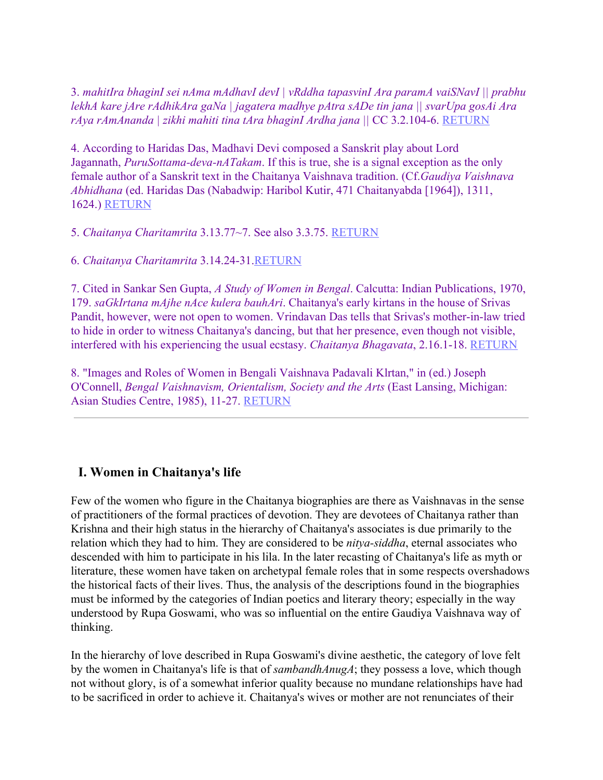3. *mahitIra bhaginI sei nAma mAdhavI devI | vRddha tapasvinI Ara paramA vaiSNavI || prabhu lekhA kare jAre rAdhikAra gaNa | jagatera madhye pAtra sADe tin jana || svarUpa gosAi Ara rAya rAmAnanda | zikhi mahiti tina tAra bhaginI Ardha jana ||* CC 3.2.104-6. RETURN

4. According to Haridas Das, Madhavi Devi composed a Sanskrit play about Lord Jagannath, *PuruSottama-deva-nATakam*. If this is true, she is a signal exception as the only female author of a Sanskrit text in the Chaitanya Vaishnava tradition. (Cf.*Gaudiya Vaishnava Abhidhana* (ed. Haridas Das (Nabadwip: Haribol Kutir, 471 Chaitanyabda [1964]), 1311, 1624.) RETURN

5. *Chaitanya Charitamrita* 3.13.77~7. See also 3.3.75. RETURN

6. *Chaitanya Charitamrita* 3.14.24-31.RETURN

7. Cited in Sankar Sen Gupta, *A Study of Women in Bengal*. Calcutta: Indian Publications, 1970, 179. *saGkIrtana mAjhe nAce kulera bauhAri*. Chaitanya's early kirtans in the house of Srivas Pandit, however, were not open to women. Vrindavan Das tells that Srivas's mother-in-law tried to hide in order to witness Chaitanya's dancing, but that her presence, even though not visible, interfered with his experiencing the usual ecstasy. *Chaitanya Bhagavata*, 2.16.1-18. RETURN

8. "Images and Roles of Women in Bengali Vaishnava Padavali Klrtan," in (ed.) Joseph O'Connell, *Bengal Vaishnavism, Orientalism, Society and the Arts* (East Lansing, Michigan: Asian Studies Centre, 1985), 11-27. RETURN

# **I. Women in Chaitanya's life**

Few of the women who figure in the Chaitanya biographies are there as Vaishnavas in the sense of practitioners of the formal practices of devotion. They are devotees of Chaitanya rather than Krishna and their high status in the hierarchy of Chaitanya's associates is due primarily to the relation which they had to him. They are considered to be *nitya-siddha*, eternal associates who descended with him to participate in his lila. In the later recasting of Chaitanya's life as myth or literature, these women have taken on archetypal female roles that in some respects overshadows the historical facts of their lives. Thus, the analysis of the descriptions found in the biographies must be informed by the categories of Indian poetics and literary theory; especially in the way understood by Rupa Goswami, who was so influential on the entire Gaudiya Vaishnava way of thinking.

In the hierarchy of love described in Rupa Goswami's divine aesthetic, the category of love felt by the women in Chaitanya's life is that of *sambandhAnugA*; they possess a love, which though not without glory, is of a somewhat inferior quality because no mundane relationships have had to be sacrificed in order to achieve it. Chaitanya's wives or mother are not renunciates of their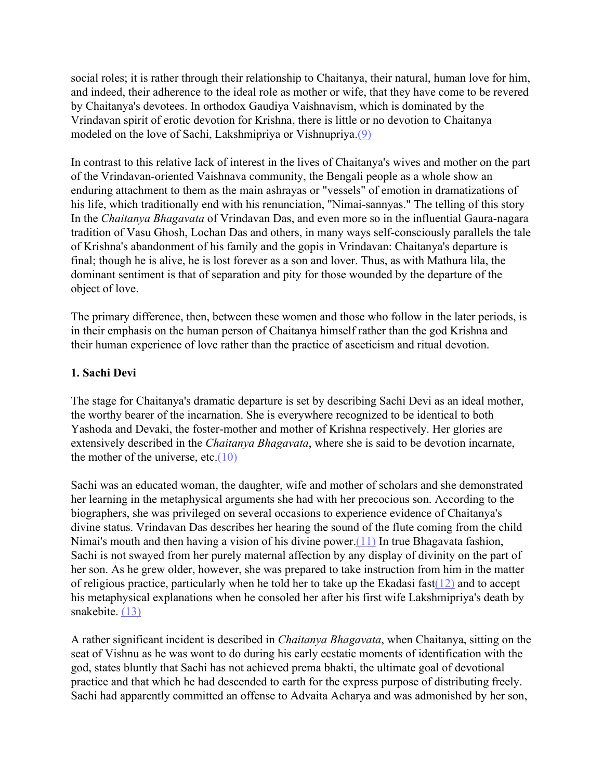social roles; it is rather through their relationship to Chaitanya, their natural, human love for him, and indeed, their adherence to the ideal role as mother or wife, that they have come to be revered by Chaitanya's devotees. In orthodox Gaudiya Vaishnavism, which is dominated by the Vrindavan spirit of erotic devotion for Krishna, there is little or no devotion to Chaitanya modeled on the love of Sachi, Lakshmipriya or Vishnupriya[.\(9\)](http://www.harekrsna.de/woman-saints.htm#9)

In contrast to this relative lack of interest in the lives of Chaitanya's wives and mother on the part of the Vrindavan-oriented Vaishnava community, the Bengali people as a whole show an enduring attachment to them as the main ashrayas or "vessels" of emotion in dramatizations of his life, which traditionally end with his renunciation, "Nimai-sannyas." The telling of this story In the *Chaitanya Bhagavata* of Vrindavan Das, and even more so in the influential Gaura-nagara tradition of Vasu Ghosh, Lochan Das and others, in many ways self-consciously parallels the tale of Krishna's abandonment of his family and the gopis in Vrindavan: Chaitanya's departure is final; though he is alive, he is lost forever as a son and lover. Thus, as with Mathura lila, the dominant sentiment is that of separation and pity for those wounded by the departure of the object of love.

The primary difference, then, between these women and those who follow in the later periods, is in their emphasis on the human person of Chaitanya himself rather than the god Krishna and their human experience of love rather than the practice of asceticism and ritual devotion.

#### **1. Sachi Devi**

The stage for Chaitanya's dramatic departure is set by describing Sachi Devi as an ideal mother, the worthy bearer of the incarnation. She is everywhere recognized to be identical to both Yashoda and Devaki, the foster-mother and mother of Krishna respectively. Her glories are extensively described in the *Chaitanya Bhagavata*, where she is said to be devotion incarnate, the mother of the universe, etc. $(10)$ 

Sachi was an educated woman, the daughter, wife and mother of scholars and she demonstrated her learning in the metaphysical arguments she had with her precocious son. According to the biographers, she was privileged on several occasions to experience evidence of Chaitanya's divine status. Vrindavan Das describes her hearing the sound of the flute coming from the child Nimai's mouth and then having a vision of his divine power. $(11)$  In true Bhagavata fashion, Sachi is not swayed from her purely maternal affection by any display of divinity on the part of her son. As he grew older, however, she was prepared to take instruction from him in the matter of religious practice, particularly when he told her to take up the Ekadasi fast $(12)$  and to accept his metaphysical explanations when he consoled her after his first wife Lakshmipriya's death by snakebite. [\(13\)](http://www.harekrsna.de/woman-saints.htm#13)

A rather significant incident is described in *Chaitanya Bhagavata*, when Chaitanya, sitting on the seat of Vishnu as he was wont to do during his early ecstatic moments of identification with the god, states bluntly that Sachi has not achieved prema bhakti, the ultimate goal of devotional practice and that which he had descended to earth for the express purpose of distributing freely. Sachi had apparently committed an offense to Advaita Acharya and was admonished by her son,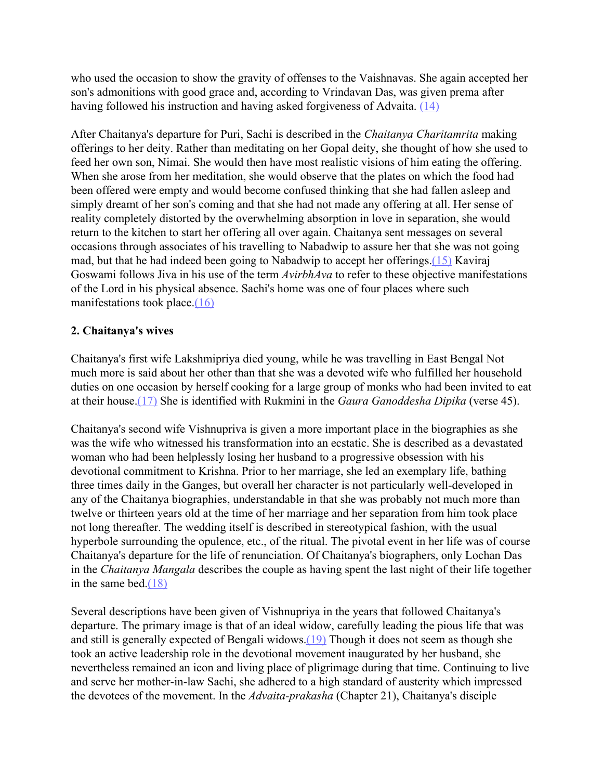who used the occasion to show the gravity of offenses to the Vaishnavas. She again accepted her son's admonitions with good grace and, according to Vrindavan Das, was given prema after having followed his instruction and having asked forgiveness of Advaita. [\(14\)](http://www.harekrsna.de/woman-saints.htm#14)

After Chaitanya's departure for Puri, Sachi is described in the *Chaitanya Charitamrita* making offerings to her deity. Rather than meditating on her Gopal deity, she thought of how she used to feed her own son, Nimai. She would then have most realistic visions of him eating the offering. When she arose from her meditation, she would observe that the plates on which the food had been offered were empty and would become confused thinking that she had fallen asleep and simply dreamt of her son's coming and that she had not made any offering at all. Her sense of reality completely distorted by the overwhelming absorption in love in separation, she would return to the kitchen to start her offering all over again. Chaitanya sent messages on several occasions through associates of his travelling to Nabadwip to assure her that she was not going mad, but that he had indeed been going to Nabadwip to accept her offerings.[\(15\)](http://www.harekrsna.de/woman-saints.htm#15) Kaviraj Goswami follows Jiva in his use of the term *AvirbhAva* to refer to these objective manifestations of the Lord in his physical absence. Sachi's home was one of four places where such manifestations took place. $(16)$ 

# **2. Chaitanya's wives**

Chaitanya's first wife Lakshmipriya died young, while he was travelling in East Bengal Not much more is said about her other than that she was a devoted wife who fulfilled her household duties on one occasion by herself cooking for a large group of monks who had been invited to eat at their house.[\(17\)](http://www.harekrsna.de/woman-saints.htm#17) She is identified with Rukmini in the *Gaura Ganoddesha Dipika* (verse 45).

Chaitanya's second wife Vishnupriva is given a more important place in the biographies as she was the wife who witnessed his transformation into an ecstatic. She is described as a devastated woman who had been helplessly losing her husband to a progressive obsession with his devotional commitment to Krishna. Prior to her marriage, she led an exemplary life, bathing three times daily in the Ganges, but overall her character is not particularly well-developed in any of the Chaitanya biographies, understandable in that she was probably not much more than twelve or thirteen years old at the time of her marriage and her separation from him took place not long thereafter. The wedding itself is described in stereotypical fashion, with the usual hyperbole surrounding the opulence, etc., of the ritual. The pivotal event in her life was of course Chaitanya's departure for the life of renunciation. Of Chaitanya's biographers, only Lochan Das in the *Chaitanya Mangala* describes the couple as having spent the last night of their life together in the same bed.[\(18\)](http://www.harekrsna.de/woman-saints.htm#18)

Several descriptions have been given of Vishnupriya in the years that followed Chaitanya's departure. The primary image is that of an ideal widow, carefully leading the pious life that was and still is generally expected of Bengali widows[.\(19\)](http://www.harekrsna.de/woman-saints.htm#19) Though it does not seem as though she took an active leadership role in the devotional movement inaugurated by her husband, she nevertheless remained an icon and living place of pligrimage during that time. Continuing to live and serve her mother-in-law Sachi, she adhered to a high standard of austerity which impressed the devotees of the movement. In the *Advaita-prakasha* (Chapter 21), Chaitanya's disciple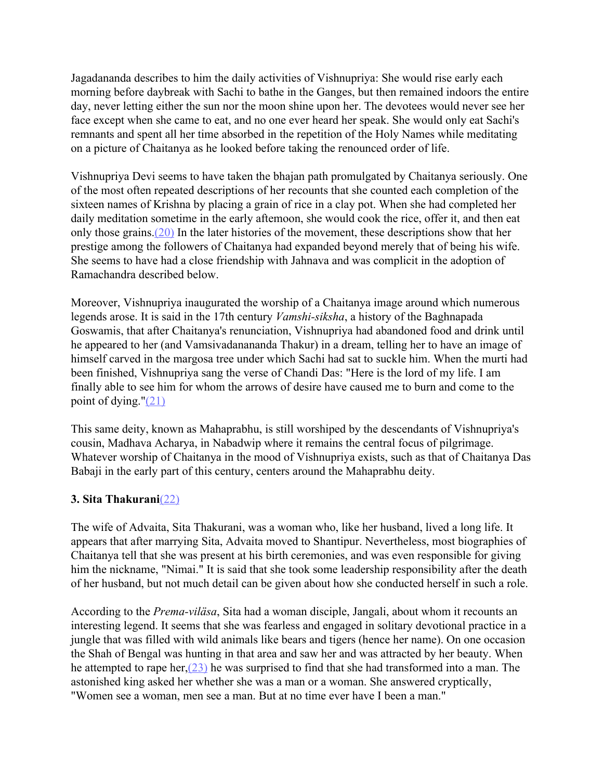Jagadananda describes to him the daily activities of Vishnupriya: She would rise early each morning before daybreak with Sachi to bathe in the Ganges, but then remained indoors the entire day, never letting either the sun nor the moon shine upon her. The devotees would never see her face except when she came to eat, and no one ever heard her speak. She would only eat Sachi's remnants and spent all her time absorbed in the repetition of the Holy Names while meditating on a picture of Chaitanya as he looked before taking the renounced order of life.

Vishnupriya Devi seems to have taken the bhajan path promulgated by Chaitanya seriously. One of the most often repeated descriptions of her recounts that she counted each completion of the sixteen names of Krishna by placing a grain of rice in a clay pot. When she had completed her daily meditation sometime in the early aftemoon, she would cook the rice, offer it, and then eat only those grains.[\(20\)](http://www.harekrsna.de/woman-saints.htm#20) In the later histories of the movement, these descriptions show that her prestige among the followers of Chaitanya had expanded beyond merely that of being his wife. She seems to have had a close friendship with Jahnava and was complicit in the adoption of Ramachandra described below.

Moreover, Vishnupriya inaugurated the worship of a Chaitanya image around which numerous legends arose. It is said in the 17th century *Vamshi-siksha*, a history of the Baghnapada Goswamis, that after Chaitanya's renunciation, Vishnupriya had abandoned food and drink until he appeared to her (and Vamsivadanananda Thakur) in a dream, telling her to have an image of himself carved in the margosa tree under which Sachi had sat to suckle him. When the murti had been finished, Vishnupriya sang the verse of Chandi Das: "Here is the lord of my life. I am finally able to see him for whom the arrows of desire have caused me to burn and come to the point of dying."[\(21\)](http://www.harekrsna.de/woman-saints.htm#21)

This same deity, known as Mahaprabhu, is still worshiped by the descendants of Vishnupriya's cousin, Madhava Acharya, in Nabadwip where it remains the central focus of pilgrimage. Whatever worship of Chaitanya in the mood of Vishnupriya exists, such as that of Chaitanya Das Babaji in the early part of this century, centers around the Mahaprabhu deity.

### **3. Sita Thakurani**[\(22\)](http://www.harekrsna.de/woman-saints.htm#22)

The wife of Advaita, Sita Thakurani, was a woman who, like her husband, lived a long life. It appears that after marrying Sita, Advaita moved to Shantipur. Nevertheless, most biographies of Chaitanya tell that she was present at his birth ceremonies, and was even responsible for giving him the nickname, "Nimai." It is said that she took some leadership responsibility after the death of her husband, but not much detail can be given about how she conducted herself in such a role.

According to the *Prema-viläsa*, Sita had a woman disciple, Jangali, about whom it recounts an interesting legend. It seems that she was fearless and engaged in solitary devotional practice in a jungle that was filled with wild animals like bears and tigers (hence her name). On one occasion the Shah of Bengal was hunting in that area and saw her and was attracted by her beauty. When he attempted to rape her, $(23)$  he was surprised to find that she had transformed into a man. The astonished king asked her whether she was a man or a woman. She answered cryptically, "Women see a woman, men see a man. But at no time ever have I been a man."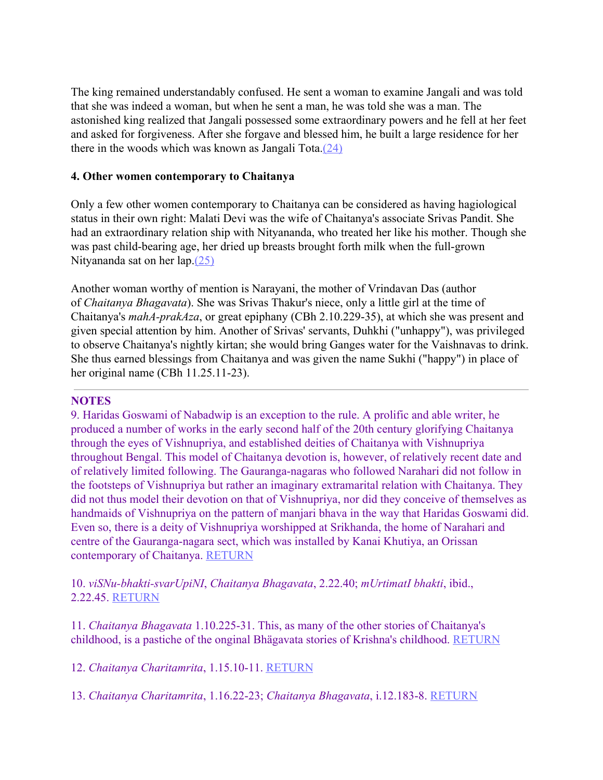The king remained understandably confused. He sent a woman to examine Jangali and was told that she was indeed a woman, but when he sent a man, he was told she was a man. The astonished king realized that Jangali possessed some extraordinary powers and he fell at her feet and asked for forgiveness. After she forgave and blessed him, he built a large residence for her there in the woods which was known as Jangali Tota.[\(24\)](http://www.harekrsna.de/woman-saints.htm#24)

#### **4. Other women contemporary to Chaitanya**

Only a few other women contemporary to Chaitanya can be considered as having hagiological status in their own right: Malati Devi was the wife of Chaitanya's associate Srivas Pandit. She had an extraordinary relation ship with Nityananda, who treated her like his mother. Though she was past child-bearing age, her dried up breasts brought forth milk when the full-grown Nityananda sat on her lap.[\(25\)](http://www.harekrsna.de/woman-saints.htm#25)

Another woman worthy of mention is Narayani, the mother of Vrindavan Das (author of *Chaitanya Bhagavata*). She was Srivas Thakur's niece, only a little girl at the time of Chaitanya's *mahA-prakAza*, or great epiphany (CBh 2.10.229-35), at which she was present and given special attention by him. Another of Srivas' servants, Duhkhi ("unhappy"), was privileged to observe Chaitanya's nightly kirtan; she would bring Ganges water for the Vaishnavas to drink. She thus earned blessings from Chaitanya and was given the name Sukhi ("happy") in place of her original name (CBh 11.25.11-23).

#### **NOTES**

9. Haridas Goswami of Nabadwip is an exception to the rule. A prolific and able writer, he produced a number of works in the early second half of the 20th century glorifying Chaitanya through the eyes of Vishnupriya, and established deities of Chaitanya with Vishnupriya throughout Bengal. This model of Chaitanya devotion is, however, of relatively recent date and of relatively limited following. The Gauranga-nagaras who followed Narahari did not follow in the footsteps of Vishnupriya but rather an imaginary extramarital relation with Chaitanya. They did not thus model their devotion on that of Vishnupriya, nor did they conceive of themselves as handmaids of Vishnupriya on the pattern of manjari bhava in the way that Haridas Goswami did. Even so, there is a deity of Vishnupriya worshipped at Srikhanda, the home of Narahari and centre of the Gauranga-nagara sect, which was installed by Kanai Khutiya, an Orissan contemporary of Chaitanya. RETURN

10. *viSNu-bhakti-svarUpiNI*, *Chaitanya Bhagavata*, 2.22.40; *mUrtimatI bhakti*, ibid., 2.22.45. RETURN

11. *Chaitanya Bhagavata* 1.10.225-31. This, as many of the other stories of Chaitanya's childhood, is a pastiche of the onginal Bhägavata stories of Krishna's childhood. RETURN

12. *Chaitanya Charitamrita*, 1.15.10-11. RETURN

13. *Chaitanya Charitamrita*, 1.16.22-23; *Chaitanya Bhagavata*, i.12.183-8. RETURN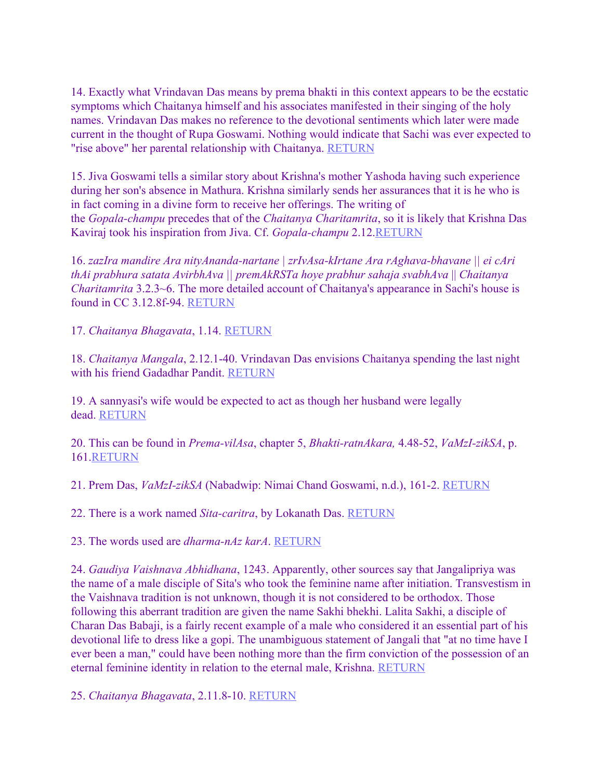14. Exactly what Vrindavan Das means by prema bhakti in this context appears to be the ecstatic symptoms which Chaitanya himself and his associates manifested in their singing of the holy names. Vrindavan Das makes no reference to the devotional sentiments which later were made current in the thought of Rupa Goswami. Nothing would indicate that Sachi was ever expected to "rise above" her parental relationship with Chaitanya. RETURN

15. Jiva Goswami tells a similar story about Krishna's mother Yashoda having such experience during her son's absence in Mathura. Krishna similarly sends her assurances that it is he who is in fact coming in a divine form to receive her offerings. The writing of the *Gopala-champu* precedes that of the *Chaitanya Charitamrita*, so it is likely that Krishna Das Kaviraj took his inspiration from Jiva. Cf. *Gopala-champu* 2.12.RETURN

16. *zazIra mandire Ara nityAnanda-nartane | zrIvAsa-kIrtane Ara rAghava-bhavane || ei cAri thAi prabhura satata AvirbhAva || premAkRSTa hoye prabhur sahaja svabhAva* || *Chaitanya Charitamrita* 3.2.3~6. The more detailed account of Chaitanya's appearance in Sachi's house is found in CC 3.12.8f-94. RETURN

17. *Chaitanya Bhagavata*, 1.14. RETURN

18. *Chaitanya Mangala*, 2.12.1-40. Vrindavan Das envisions Chaitanya spending the last night with his friend Gadadhar Pandit. RETURN

19. A sannyasi's wife would be expected to act as though her husband were legally dead. RETURN

20. This can be found in *Prema-vilAsa*, chapter 5, *Bhakti-ratnAkara,* 4.48-52, *VaMzI-zikSA*, p. 161.RETURN

21. Prem Das, *VaMzI-zikSA* (Nabadwip: Nimai Chand Goswami, n.d.), 161-2. RETURN

22. There is a work named *Sita-caritra*, by Lokanath Das. RETURN

23. The words used are *dharma-nAz karA*. RETURN

24. *Gaudiya Vaishnava Abhidhana*, 1243. Apparently, other sources say that Jangalipriya was the name of a male disciple of Sita's who took the feminine name after initiation. Transvestism in the Vaishnava tradition is not unknown, though it is not considered to be orthodox. Those following this aberrant tradition are given the name Sakhi bhekhi. Lalita Sakhi, a disciple of Charan Das Babaji, is a fairly recent example of a male who considered it an essential part of his devotional life to dress like a gopi. The unambiguous statement of Jangali that "at no time have I ever been a man," could have been nothing more than the firm conviction of the possession of an eternal feminine identity in relation to the eternal male, Krishna. RETURN

25. *Chaitanya Bhagavata*, 2.11.8-10. RETURN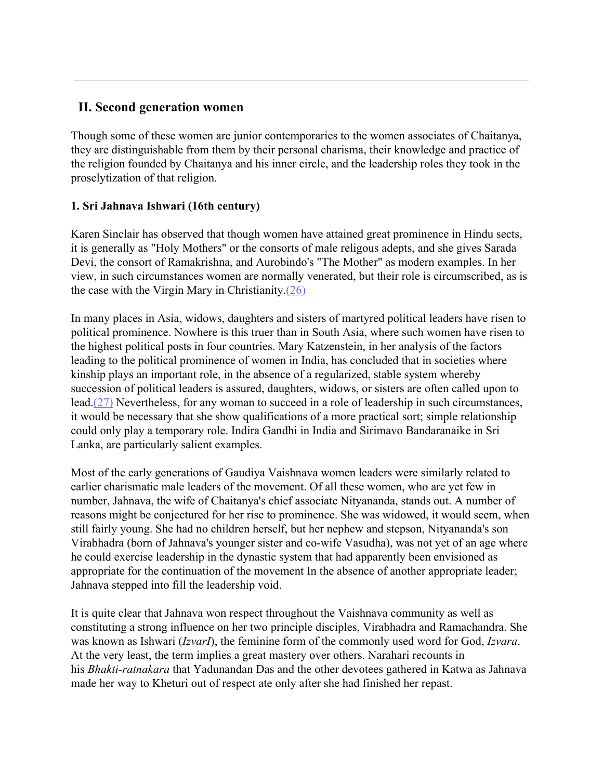# **II. Second generation women**

Though some of these women are junior contemporaries to the women associates of Chaitanya, they are distinguishable from them by their personal charisma, their knowledge and practice of the religion founded by Chaitanya and his inner circle, and the leadership roles they took in the proselytization of that religion.

# **1. Sri Jahnava Ishwari (16th century)**

Karen Sinclair has observed that though women have attained great prominence in Hindu sects, it is generally as "Holy Mothers" or the consorts of male religous adepts, and she gives Sarada Devi, the consort of Ramakrishna, and Aurobindo's "The Mother" as modern examples. In her view, in such circumstances women are normally venerated, but their role is circumscribed, as is the case with the Virgin Mary in Christianity.[\(26\)](http://www.harekrsna.de/woman-saints.htm#26)

In many places in Asia, widows, daughters and sisters of martyred political leaders have risen to political prominence. Nowhere is this truer than in South Asia, where such women have risen to the highest political posts in four countries. Mary Katzenstein, in her analysis of the factors leading to the political prominence of women in India, has concluded that in societies where kinship plays an important role, in the absence of a regularized, stable system whereby succession of political leaders is assured, daughters, widows, or sisters are often called upon to lead.[\(27\)](http://www.harekrsna.de/woman-saints.htm#27) Nevertheless, for any woman to succeed in a role of leadership in such circumstances, it would be necessary that she show qualifications of a more practical sort; simple relationship could only play a temporary role. Indira Gandhi in India and Sirimavo Bandaranaike in Sri Lanka, are particularly salient examples.

Most of the early generations of Gaudiya Vaishnava women leaders were similarly related to earlier charismatic male leaders of the movement. Of all these women, who are yet few in number, Jahnava, the wife of Chaitanya's chief associate Nityananda, stands out. A number of reasons might be conjectured for her rise to prominence. She was widowed, it would seem, when still fairly young. She had no children herself, but her nephew and stepson, Nityananda's son Virabhadra (born of Jahnava's younger sister and co-wife Vasudha), was not yet of an age where he could exercise leadership in the dynastic system that had apparently been envisioned as appropriate for the continuation of the movement In the absence of another appropriate leader; Jahnava stepped into fill the leadership void.

It is quite clear that Jahnava won respect throughout the Vaishnava community as well as constituting a strong influence on her two principle disciples, Virabhadra and Ramachandra. She was known as Ishwari (*IzvarI*), the feminine form of the commonly used word for God, *Izvara*. At the very least, the term implies a great mastery over others. Narahari recounts in his *Bhakti-ratnakara* that Yadunandan Das and the other devotees gathered in Katwa as Jahnava made her way to Kheturi out of respect ate only after she had finished her repast.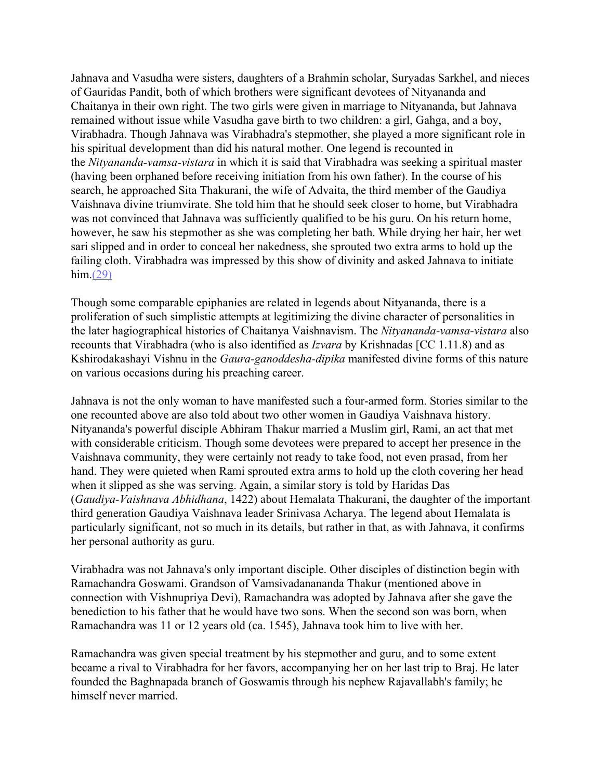Jahnava and Vasudha were sisters, daughters of a Brahmin scholar, Suryadas Sarkhel, and nieces of Gauridas Pandit, both of which brothers were significant devotees of Nityananda and Chaitanya in their own right. The two girls were given in marriage to Nityananda, but Jahnava remained without issue while Vasudha gave birth to two children: a girl, Gahga, and a boy, Virabhadra. Though Jahnava was Virabhadra's stepmother, she played a more significant role in his spiritual development than did his natural mother. One legend is recounted in the *Nityananda-vamsa-vistara* in which it is said that Virabhadra was seeking a spiritual master (having been orphaned before receiving initiation from his own father). In the course of his search, he approached Sita Thakurani, the wife of Advaita, the third member of the Gaudiya Vaishnava divine triumvirate. She told him that he should seek closer to home, but Virabhadra was not convinced that Jahnava was sufficiently qualified to be his guru. On his return home, however, he saw his stepmother as she was completing her bath. While drying her hair, her wet sari slipped and in order to conceal her nakedness, she sprouted two extra arms to hold up the failing cloth. Virabhadra was impressed by this show of divinity and asked Jahnava to initiate him.[\(29\)](http://www.harekrsna.de/woman-saints.htm#29)

Though some comparable epiphanies are related in legends about Nityananda, there is a proliferation of such simplistic attempts at legitimizing the divine character of personalities in the later hagiographical histories of Chaitanya Vaishnavism. The *Nityananda-vamsa-vistara* also recounts that Virabhadra (who is also identified as *Izvara* by Krishnadas [CC 1.11.8) and as Kshirodakashayi Vishnu in the *Gaura-ganoddesha-dipika* manifested divine forms of this nature on various occasions during his preaching career.

Jahnava is not the only woman to have manifested such a four-armed form. Stories similar to the one recounted above are also told about two other women in Gaudiya Vaishnava history. Nityananda's powerful disciple Abhiram Thakur married a Muslim girl, Rami, an act that met with considerable criticism. Though some devotees were prepared to accept her presence in the Vaishnava community, they were certainly not ready to take food, not even prasad, from her hand. They were quieted when Rami sprouted extra arms to hold up the cloth covering her head when it slipped as she was serving. Again, a similar story is told by Haridas Das (*Gaudiya-Vaishnava Abhidhana*, 1422) about Hemalata Thakurani, the daughter of the important third generation Gaudiya Vaishnava leader Srinivasa Acharya. The legend about Hemalata is particularly significant, not so much in its details, but rather in that, as with Jahnava, it confirms her personal authority as guru.

Virabhadra was not Jahnava's only important disciple. Other disciples of distinction begin with Ramachandra Goswami. Grandson of Vamsivadanananda Thakur (mentioned above in connection with Vishnupriya Devi), Ramachandra was adopted by Jahnava after she gave the benediction to his father that he would have two sons. When the second son was born, when Ramachandra was 11 or 12 years old (ca. 1545), Jahnava took him to live with her.

Ramachandra was given special treatment by his stepmother and guru, and to some extent became a rival to Virabhadra for her favors, accompanying her on her last trip to Braj. He later founded the Baghnapada branch of Goswamis through his nephew Rajavallabh's family; he himself never married.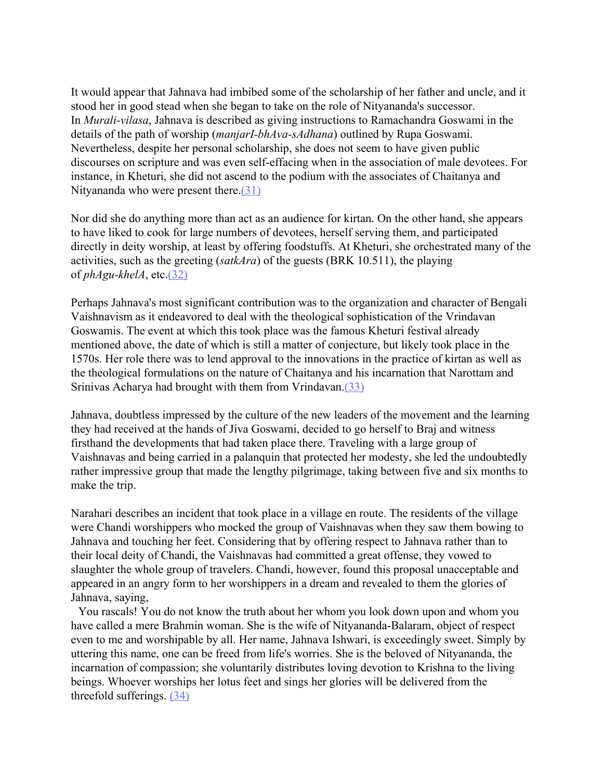It would appear that Jahnava had imbibed some of the scholarship of her father and uncle, and it stood her in good stead when she began to take on the role of Nityananda's successor. In *Murali-vilasa*, Jahnava is described as giving instructions to Ramachandra Goswami in the details of the path of worship (*manjarI-bhAva-sAdhana*) outlined by Rupa Goswami. Nevertheless, despite her personal scholarship, she does not seem to have given public discourses on scripture and was even self-effacing when in the association of male devotees. For instance, in Kheturi, she did not ascend to the podium with the associates of Chaitanya and Nityananda who were present there.[\(31\)](http://www.harekrsna.de/woman-saints.htm#31)

Nor did she do anything more than act as an audience for kirtan. On the other hand, she appears to have liked to cook for large numbers of devotees, herself serving them, and participated directly in deity worship, at least by offering foodstuffs. At Kheturi, she orchestrated many of the activities, such as the greeting (*satkAra*) of the guests (BRK 10.511), the playing of *phAgu-khelA*, etc.[\(32\)](http://www.harekrsna.de/woman-saints.htm#32)

Perhaps Jahnava's most significant contribution was to the organization and character of Bengali Vaishnavism as it endeavored to deal with the theological sophistication of the Vrindavan Goswamis. The event at which this took place was the famous Kheturi festival already mentioned above, the date of which is still a matter of conjecture, but likely took place in the 1570s. Her role there was to lend approval to the innovations in the practice of kirtan as well as the theological formulations on the nature of Chaitanya and his incarnation that Narottam and Srinivas Acharya had brought with them from Vrindavan.[\(33\)](http://www.harekrsna.de/woman-saints.htm#33)

Jahnava, doubtless impressed by the culture of the new leaders of the movement and the learning they had received at the hands of Jiva Goswami, decided to go herself to Braj and witness firsthand the developments that had taken place there. Traveling with a large group of Vaishnavas and being carried in a palanquin that protected her modesty, she led the undoubtedly rather impressive group that made the lengthy pilgrimage, taking between five and six months to make the trip.

Narahari describes an incident that took place in a village en route. The residents of the village were Chandi worshippers who mocked the group of Vaishnavas when they saw them bowing to Jahnava and touching her feet. Considering that by offering respect to Jahnava rather than to their local deity of Chandi, the Vaishnavas had committed a great offense, they vowed to slaughter the whole group of travelers. Chandi, however, found this proposal unacceptable and appeared in an angry form to her worshippers in a dream and revealed to them the glories of Jahnava, saying,

You rascals! You do not know the truth about her whom you look down upon and whom you have called a mere Brahmin woman. She is the wife of Nityananda-Balaram, object of respect even to me and worshipable by all. Her name, Jahnava Ishwari, is exceedingly sweet. Simply by uttering this name, one can be freed from life's worries. She is the beloved of Nityananda, the incarnation of compassion; she voluntarily distributes loving devotion to Krishna to the living beings. Whoever worships her lotus feet and sings her glories will be delivered from the threefold sufferings. [\(34\)](http://www.harekrsna.de/woman-saints.htm#34)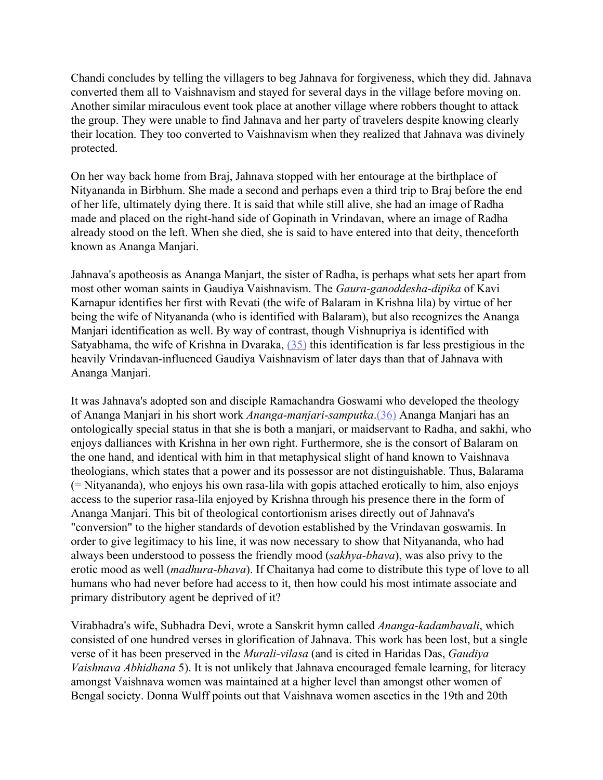Chandi concludes by telling the villagers to beg Jahnava for forgiveness, which they did. Jahnava converted them all to Vaishnavism and stayed for several days in the village before moving on. Another similar miraculous event took place at another village where robbers thought to attack the group. They were unable to find Jahnava and her party of travelers despite knowing clearly their location. They too converted to Vaishnavism when they realized that Jahnava was divinely protected.

On her way back home from Braj, Jahnava stopped with her entourage at the birthplace of Nityananda in Birbhum. She made a second and perhaps even a third trip to Braj before the end of her life, ultimately dying there. It is said that while still alive, she had an image of Radha made and placed on the right-hand side of Gopinath in Vrindavan, where an image of Radha already stood on the left. When she died, she is said to have entered into that deity, thenceforth known as Ananga Manjari.

Jahnava's apotheosis as Ananga Manjart, the sister of Radha, is perhaps what sets her apart from most other woman saints in Gaudiya Vaishnavism. The *Gaura-ganoddesha-dipika* of Kavi Karnapur identifies her first with Revati (the wife of Balaram in Krishna lila) by virtue of her being the wife of Nityananda (who is identified with Balaram), but also recognizes the Ananga Manjari identification as well. By way of contrast, though Vishnupriya is identified with Satyabhama, the wife of Krishna in Dvaraka, [\(35\)](http://www.harekrsna.de/woman-saints.htm#35) this identification is far less prestigious in the heavily Vrindavan-influenced Gaudiya Vaishnavism of later days than that of Jahnava with Ananga Manjari.

It was Jahnava's adopted son and disciple Ramachandra Goswami who developed the theology of Ananga Manjari in his short work *Ananga-manjari-samputka*[.\(36\)](http://www.harekrsna.de/woman-saints.htm#36) Ananga Manjari has an ontologically special status in that she is both a manjari, or maidservant to Radha, and sakhi, who enjoys dalliances with Krishna in her own right. Furthermore, she is the consort of Balaram on the one hand, and identical with him in that metaphysical slight of hand known to Vaishnava theologians, which states that a power and its possessor are not distinguishable. Thus, Balarama (= Nityananda), who enjoys his own rasa-lila with gopis attached erotically to him, also enjoys access to the superior rasa-lila enjoyed by Krishna through his presence there in the form of Ananga Manjari. This bit of theological contortionism arises directly out of Jahnava's "conversion" to the higher standards of devotion established by the Vrindavan goswamis. In order to give legitimacy to his line, it was now necessary to show that Nityananda, who had always been understood to possess the friendly mood (*sakhya-bhava*), was also privy to the erotic mood as well (*madhura-bhava*). If Chaitanya had come to distribute this type of love to all humans who had never before had access to it, then how could his most intimate associate and primary distributory agent be deprived of it?

Virabhadra's wife, Subhadra Devi, wrote a Sanskrit hymn called *Ananga-kadambavali*, which consisted of one hundred verses in glorification of Jahnava. This work has been lost, but a single verse of it has been preserved in the *Murali-vilasa* (and is cited in Haridas Das, *Gaudiya Vaishnava Abhidhana* 5). It is not unlikely that Jahnava encouraged female learning, for literacy amongst Vaishnava women was maintained at a higher level than amongst other women of Bengal society. Donna Wulff points out that Vaishnava women ascetics in the 19th and 20th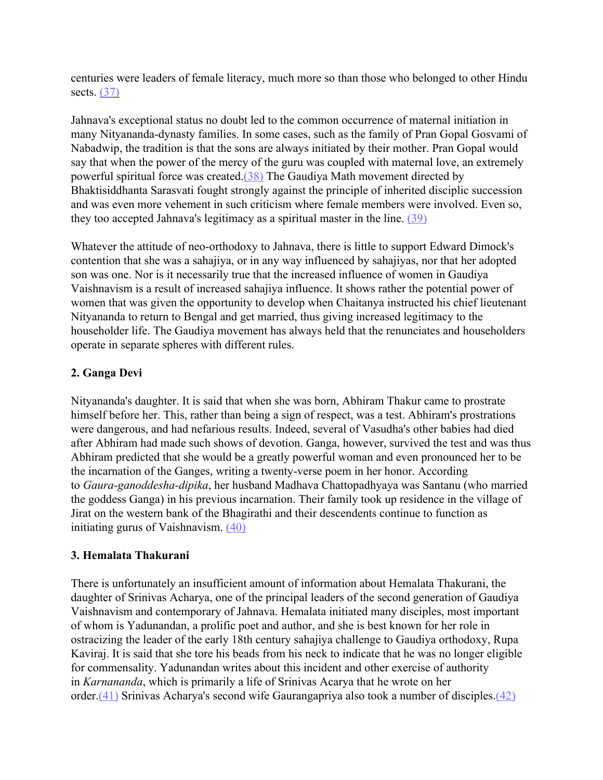centuries were leaders of female literacy, much more so than those who belonged to other Hindu sects. [\(37\)](http://www.harekrsna.de/woman-saints.htm#37)

Jahnava's exceptional status no doubt led to the common occurrence of maternal initiation in many Nityananda-dynasty families. In some cases, such as the family of Pran Gopal Gosvami of Nabadwip, the tradition is that the sons are always initiated by their mother. Pran Gopal would say that when the power of the mercy of the guru was coupled with maternal love, an extremely powerful spiritual force was created.[\(38\)](http://www.harekrsna.de/woman-saints.htm#38) The Gaudiya Math movement directed by Bhaktisiddhanta Sarasvati fought strongly against the principle of inherited disciplic succession and was even more vehement in such criticism where female members were involved. Even so, they too accepted Jahnava's legitimacy as a spiritual master in the line. [\(39\)](http://www.harekrsna.de/woman-saints.htm#39)

Whatever the attitude of neo-orthodoxy to Jahnava, there is little to support Edward Dimock's contention that she was a sahajiya, or in any way influenced by sahajiyas, nor that her adopted son was one. Nor is it necessarily true that the increased influence of women in Gaudiya Vaishnavism is a result of increased sahajiya influence. It shows rather the potential power of women that was given the opportunity to develop when Chaitanya instructed his chief lieutenant Nityananda to return to Bengal and get married, thus giving increased legitimacy to the householder life. The Gaudiya movement has always held that the renunciates and householders operate in separate spheres with different rules.

### **2. Ganga Devi**

Nityananda's daughter. It is said that when she was born, Abhiram Thakur came to prostrate himself before her. This, rather than being a sign of respect, was a test. Abhiram's prostrations were dangerous, and had nefarious results. Indeed, several of Vasudha's other babies had died after Abhiram had made such shows of devotion. Ganga, however, survived the test and was thus Abhiram predicted that she would be a greatly powerful woman and even pronounced her to be the incarnation of the Ganges, writing a twenty-verse poem in her honor. According to *Gaura-ganoddesha-dipika*, her husband Madhava Chattopadhyaya was Santanu (who married the goddess Ganga) in his previous incarnation. Their family took up residence in the village of Jirat on the western bank of the Bhagirathi and their descendents continue to function as initiating gurus of Vaishnavism. [\(40\)](http://www.harekrsna.de/woman-saints.htm#40)

### **3. Hemalata Thakurani**

There is unfortunately an insufficient amount of information about Hemalata Thakurani, the daughter of Srinivas Acharya, one of the principal leaders of the second generation of Gaudiya Vaishnavism and contemporary of Jahnava. Hemalata initiated many disciples, most important of whom is Yadunandan, a prolific poet and author, and she is best known for her role in ostracizing the leader of the early 18th century sahajiya challenge to Gaudiya orthodoxy, Rupa Kaviraj. It is said that she tore his beads from his neck to indicate that he was no longer eligible for commensality. Yadunandan writes about this incident and other exercise of authority in *Karnananda*, which is primarily a life of Srinivas Acarya that he wrote on her order[.\(41\)](http://www.harekrsna.de/woman-saints.htm#41) Srinivas Acharya's second wife Gaurangapriya also took a number of disciples.[\(42\)](http://www.harekrsna.de/woman-saints.htm#42)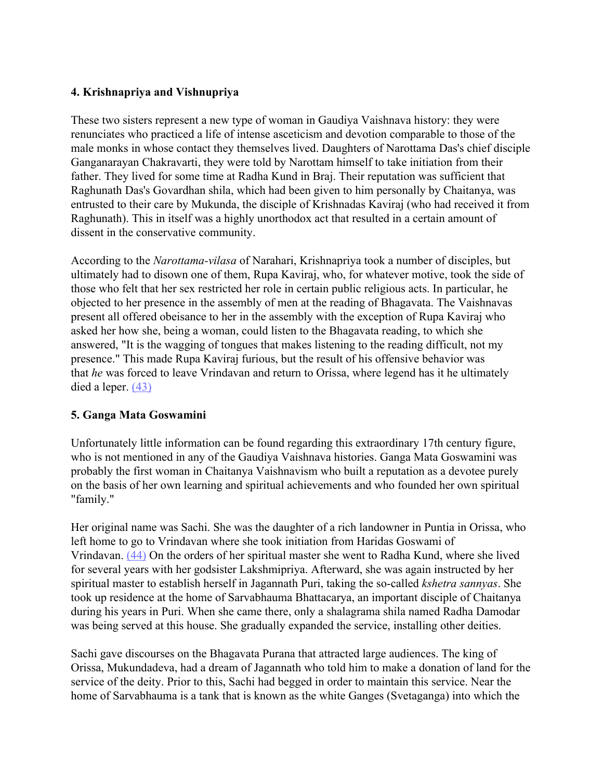# **4. Krishnapriya and Vishnupriya**

These two sisters represent a new type of woman in Gaudiya Vaishnava history: they were renunciates who practiced a life of intense asceticism and devotion comparable to those of the male monks in whose contact they themselves lived. Daughters of Narottama Das's chief disciple Ganganarayan Chakravarti, they were told by Narottam himself to take initiation from their father. They lived for some time at Radha Kund in Braj. Their reputation was sufficient that Raghunath Das's Govardhan shila, which had been given to him personally by Chaitanya, was entrusted to their care by Mukunda, the disciple of Krishnadas Kaviraj (who had received it from Raghunath). This in itself was a highly unorthodox act that resulted in a certain amount of dissent in the conservative community.

According to the *Narottama-vilasa* of Narahari, Krishnapriya took a number of disciples, but ultimately had to disown one of them, Rupa Kaviraj, who, for whatever motive, took the side of those who felt that her sex restricted her role in certain public religious acts. In particular, he objected to her presence in the assembly of men at the reading of Bhagavata. The Vaishnavas present all offered obeisance to her in the assembly with the exception of Rupa Kaviraj who asked her how she, being a woman, could listen to the Bhagavata reading, to which she answered, "It is the wagging of tongues that makes listening to the reading difficult, not my presence." This made Rupa Kaviraj furious, but the result of his offensive behavior was that *he* was forced to leave Vrindavan and return to Orissa, where legend has it he ultimately died a leper. [\(43\)](http://www.harekrsna.de/woman-saints.htm#43)

### **5. Ganga Mata Goswamini**

Unfortunately little information can be found regarding this extraordinary 17th century figure, who is not mentioned in any of the Gaudiya Vaishnava histories. Ganga Mata Goswamini was probably the first woman in Chaitanya Vaishnavism who built a reputation as a devotee purely on the basis of her own learning and spiritual achievements and who founded her own spiritual "family."

Her original name was Sachi. She was the daughter of a rich landowner in Puntia in Orissa, who left home to go to Vrindavan where she took initiation from Haridas Goswami of Vrindavan. [\(44\)](http://www.harekrsna.de/woman-saints.htm#44) On the orders of her spiritual master she went to Radha Kund, where she lived for several years with her godsister Lakshmipriya. Afterward, she was again instructed by her spiritual master to establish herself in Jagannath Puri, taking the so-called *kshetra sannyas*. She took up residence at the home of Sarvabhauma Bhattacarya, an important disciple of Chaitanya during his years in Puri. When she came there, only a shalagrama shila named Radha Damodar was being served at this house. She gradually expanded the service, installing other deities.

Sachi gave discourses on the Bhagavata Purana that attracted large audiences. The king of Orissa, Mukundadeva, had a dream of Jagannath who told him to make a donation of land for the service of the deity. Prior to this, Sachi had begged in order to maintain this service. Near the home of Sarvabhauma is a tank that is known as the white Ganges (Svetaganga) into which the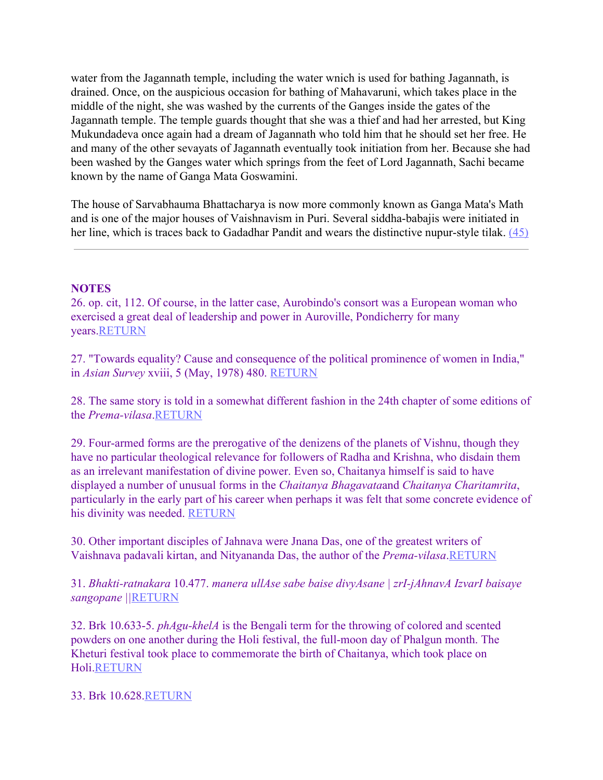water from the Jagannath temple, including the water wnich is used for bathing Jagannath, is drained. Once, on the auspicious occasion for bathing of Mahavaruni, which takes place in the middle of the night, she was washed by the currents of the Ganges inside the gates of the Jagannath temple. The temple guards thought that she was a thief and had her arrested, but King Mukundadeva once again had a dream of Jagannath who told him that he should set her free. He and many of the other sevayats of Jagannath eventually took initiation from her. Because she had been washed by the Ganges water which springs from the feet of Lord Jagannath, Sachi became known by the name of Ganga Mata Goswamini.

The house of Sarvabhauma Bhattacharya is now more commonly known as Ganga Mata's Math and is one of the major houses of Vaishnavism in Puri. Several siddha-babajis were initiated in her line, which is traces back to Gadadhar Pandit and wears the distinctive nupur-style tilak. [\(45\)](http://www.harekrsna.de/woman-saints.htm#45)

#### **NOTES**

26. op. cit, 112. Of course, in the latter case, Aurobindo's consort was a European woman who exercised a great deal of leadership and power in Auroville, Pondicherry for many years.RETURN

27. "Towards equality? Cause and consequence of the political prominence of women in India," in *Asian Survey* xviii, 5 (May, 1978) 480. RETURN

28. The same story is told in a somewhat different fashion in the 24th chapter of some editions of the *Prema-vilasa*.RETURN

29. Four-armed forms are the prerogative of the denizens of the planets of Vishnu, though they have no particular theological relevance for followers of Radha and Krishna, who disdain them as an irrelevant manifestation of divine power. Even so, Chaitanya himself is said to have displayed a number of unusual forms in the *Chaitanya Bhagavata*and *Chaitanya Charitamrita*, particularly in the early part of his career when perhaps it was felt that some concrete evidence of his divinity was needed. RETURN

30. Other important disciples of Jahnava were Jnana Das, one of the greatest writers of Vaishnava padavali kirtan, and Nityananda Das, the author of the *Prema-vilasa*.RETURN

31. *Bhakti-ratnakara* 10.477. *manera ullAse sabe baise divyAsane | zrI-jAhnavA IzvarI baisaye sangopane ||*RETURN

32. Brk 10.633-5. *phAgu-khelA* is the Bengali term for the throwing of colored and scented powders on one another during the Holi festival, the full-moon day of Phalgun month. The Kheturi festival took place to commemorate the birth of Chaitanya, which took place on Holi.RETURN

33. Brk 10.628.RETURN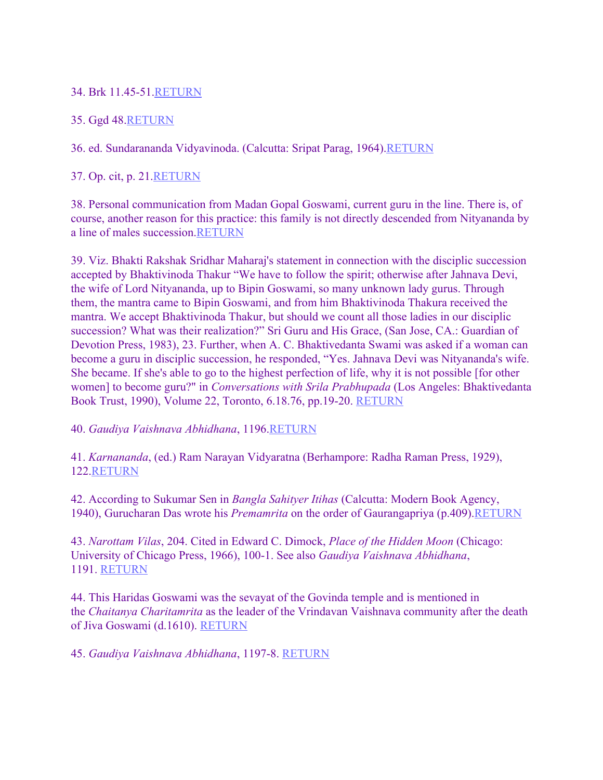## 34. Brk 11.45-51.RETURN

## 35. Ggd 48.RETURN

## 36. ed. Sundarananda Vidyavinoda. (Calcutta: Sripat Parag, 1964).RETURN

# 37. Op. cit, p. 21.RETURN

38. Personal communication from Madan Gopal Goswami, current guru in the line. There is, of course, another reason for this practice: this family is not directly descended from Nityananda by a line of males succession.RETURN

39. Viz. Bhakti Rakshak Sridhar Maharaj's statement in connection with the disciplic succession accepted by Bhaktivinoda Thakur "We have to follow the spirit; otherwise after Jahnava Devi, the wife of Lord Nityananda, up to Bipin Goswami, so many unknown lady gurus. Through them, the mantra came to Bipin Goswami, and from him Bhaktivinoda Thakura received the mantra. We accept Bhaktivinoda Thakur, but should we count all those ladies in our disciplic succession? What was their realization?" Sri Guru and His Grace, (San Jose, CA.: Guardian of Devotion Press, 1983), 23. Further, when A. C. Bhaktivedanta Swami was asked if a woman can become a guru in disciplic succession, he responded, "Yes. Jahnava Devi was Nityananda's wife. She became. If she's able to go to the highest perfection of life, why it is not possible [for other women] to become guru?" in *Conversations with Srila Prabhupada* (Los Angeles: Bhaktivedanta Book Trust, 1990), Volume 22, Toronto, 6.18.76, pp.19-20. RETURN

### 40. *Gaudiya Vaishnava Abhidhana*, 1196.RETURN

41. *Karnananda*, (ed.) Ram Narayan Vidyaratna (Berhampore: Radha Raman Press, 1929), 122.RETURN

42. According to Sukumar Sen in *Bangla Sahityer Itihas* (Calcutta: Modern Book Agency, 1940), Gurucharan Das wrote his *Premamrita* on the order of Gaurangapriya (p.409). RETURN

43. *Narottam Vilas*, 204. Cited in Edward C. Dimock, *Place of the Hidden Moon* (Chicago: University of Chicago Press, 1966), 100-1. See also *Gaudiya Vaishnava Abhidhana*, 1191. RETURN

44. This Haridas Goswami was the sevayat of the Govinda temple and is mentioned in the *Chaitanya Charitamrita* as the leader of the Vrindavan Vaishnava community after the death of Jiva Goswami (d.1610). RETURN

45. *Gaudiya Vaishnava Abhidhana*, 1197-8. RETURN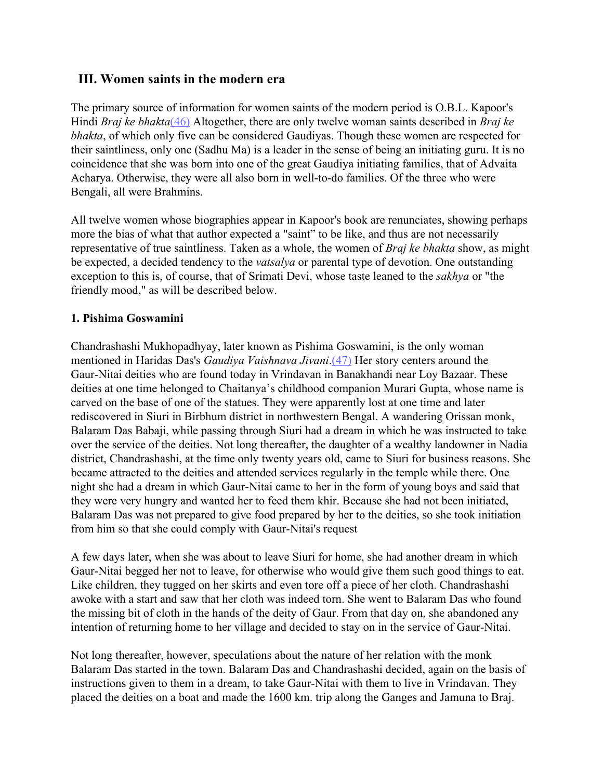# **III. Women saints in the modern era**

The primary source of information for women saints of the modern period is O.B.L. Kapoor's Hindi *Braj ke bhakta*[\(46\)](http://www.harekrsna.de/woman-saints.htm#46) Altogether, there are only twelve woman saints described in *Braj ke bhakta*, of which only five can be considered Gaudiyas. Though these women are respected for their saintliness, only one (Sadhu Ma) is a leader in the sense of being an initiating guru. It is no coincidence that she was born into one of the great Gaudiya initiating families, that of Advaita Acharya. Otherwise, they were all also born in well-to-do families. Of the three who were Bengali, all were Brahmins.

All twelve women whose biographies appear in Kapoor's book are renunciates, showing perhaps more the bias of what that author expected a "saint" to be like, and thus are not necessarily representative of true saintliness. Taken as a whole, the women of *Braj ke bhakta* show, as might be expected, a decided tendency to the *vatsalya* or parental type of devotion. One outstanding exception to this is, of course, that of Srimati Devi, whose taste leaned to the *sakhya* or "the friendly mood," as will be described below.

### **1. Pishima Goswamini**

Chandrashashi Mukhopadhyay, later known as Pishima Goswamini, is the only woman mentioned in Haridas Das's *Gaudiya Vaishnava Jivani*[.\(47\)](http://www.harekrsna.de/woman-saints.htm#47) Her story centers around the Gaur-Nitai deities who are found today in Vrindavan in Banakhandi near Loy Bazaar. These deities at one time helonged to Chaitanya's childhood companion Murari Gupta, whose name is carved on the base of one of the statues. They were apparently lost at one time and later rediscovered in Siuri in Birbhum district in northwestern Bengal. A wandering Orissan monk, Balaram Das Babaji, while passing through Siuri had a dream in which he was instructed to take over the service of the deities. Not long thereafter, the daughter of a wealthy landowner in Nadia district, Chandrashashi, at the time only twenty years old, came to Siuri for business reasons. She became attracted to the deities and attended services regularly in the temple while there. One night she had a dream in which Gaur-Nitai came to her in the form of young boys and said that they were very hungry and wanted her to feed them khir. Because she had not been initiated, Balaram Das was not prepared to give food prepared by her to the deities, so she took initiation from him so that she could comply with Gaur-Nitai's request

A few days later, when she was about to leave Siuri for home, she had another dream in which Gaur-Nitai begged her not to leave, for otherwise who would give them such good things to eat. Like children, they tugged on her skirts and even tore off a piece of her cloth. Chandrashashi awoke with a start and saw that her cloth was indeed torn. She went to Balaram Das who found the missing bit of cloth in the hands of the deity of Gaur. From that day on, she abandoned any intention of returning home to her village and decided to stay on in the service of Gaur-Nitai.

Not long thereafter, however, speculations about the nature of her relation with the monk Balaram Das started in the town. Balaram Das and Chandrashashi decided, again on the basis of instructions given to them in a dream, to take Gaur-Nitai with them to live in Vrindavan. They placed the deities on a boat and made the 1600 km. trip along the Ganges and Jamuna to Braj.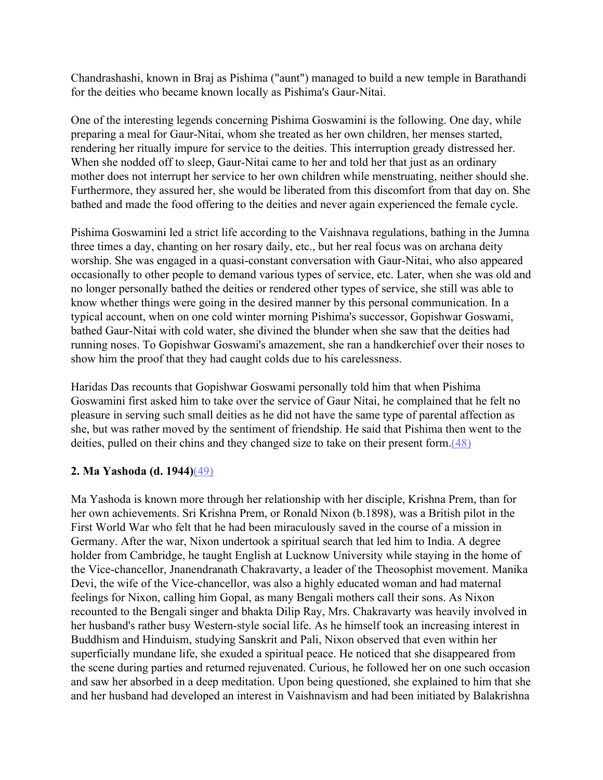Chandrashashi, known in Braj as Pishima ("aunt") managed to build a new temple in Barathandi for the deities who became known locally as Pishima's Gaur-Nitai.

One of the interesting legends concerning Pishima Goswamini is the following. One day, while preparing a meal for Gaur-Nitai, whom she treated as her own children, her menses started, rendering her ritually impure for service to the deities. This interruption gready distressed her. When she nodded off to sleep, Gaur-Nitai came to her and told her that just as an ordinary mother does not interrupt her service to her own children while menstruating, neither should she. Furthermore, they assured her, she would be liberated from this discomfort from that day on. She bathed and made the food offering to the deities and never again experienced the female cycle.

Pishima Goswamini led a strict life according to the Vaishnava regulations, bathing in the Jumna three times a day, chanting on her rosary daily, etc., but her real focus was on archana deity worship. She was engaged in a quasi-constant conversation with Gaur-Nitai, who also appeared occasionally to other people to demand various types of service, etc. Later, when she was old and no longer personally bathed the deities or rendered other types of service, she still was able to know whether things were going in the desired manner by this personal communication. In a typical account, when on one cold winter morning Pishima's successor, Gopishwar Goswami, bathed Gaur-Nitai with cold water, she divined the blunder when she saw that the deities had running noses. To Gopishwar Goswami's amazement, she ran a handkerchief over their noses to show him the proof that they had caught colds due to his carelessness.

Haridas Das recounts that Gopishwar Goswami personally told him that when Pishima Goswamini first asked him to take over the service of Gaur Nitai, he complained that he felt no pleasure in serving such small deities as he did not have the same type of parental affection as she, but was rather moved by the sentiment of friendship. He said that Pishima then went to the deities, pulled on their chins and they changed size to take on their present form. $(48)$ 

### **2. Ma Yashoda (d. 1944)**[\(49\)](http://www.harekrsna.de/woman-saints.htm#49)

Ma Yashoda is known more through her relationship with her disciple, Krishna Prem, than for her own achievements. Sri Krishna Prem, or Ronald Nixon (b.1898), was a British pilot in the First World War who felt that he had been miraculously saved in the course of a mission in Germany. After the war, Nixon undertook a spiritual search that led him to India. A degree holder from Cambridge, he taught English at Lucknow University while staying in the home of the Vice-chancellor, Jnanendranath Chakravarty, a leader of the Theosophist movement. Manika Devi, the wife of the Vice-chancellor, was also a highly educated woman and had maternal feelings for Nixon, calling him Gopal, as many Bengali mothers call their sons. As Nixon recounted to the Bengali singer and bhakta Dilip Ray, Mrs. Chakravarty was heavily involved in her husband's rather busy Western-style social life. As he himself took an increasing interest in Buddhism and Hinduism, studying Sanskrit and Pali, Nixon observed that even within her superficially mundane life, she exuded a spiritual peace. He noticed that she disappeared from the scene during parties and returned rejuvenated. Curious, he followed her on one such occasion and saw her absorbed in a deep meditation. Upon being questioned, she explained to him that she and her husband had developed an interest in Vaishnavism and had been initiated by Balakrishna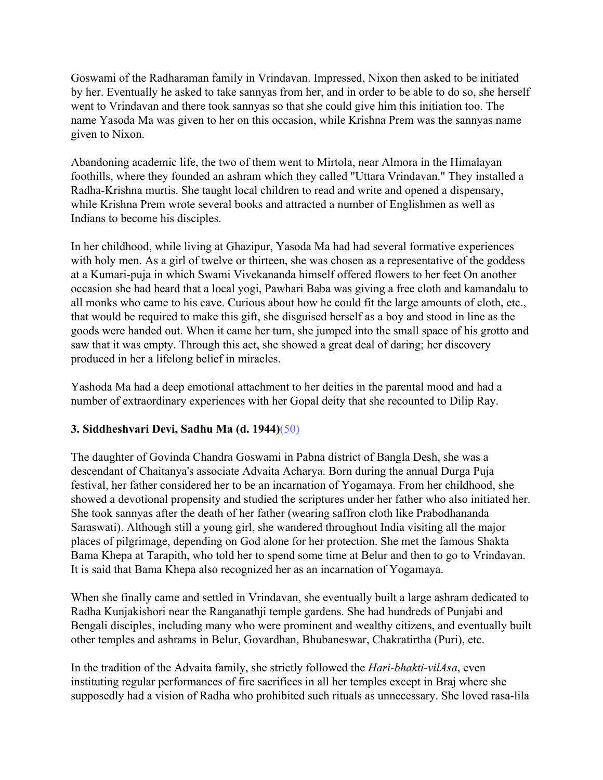Goswami of the Radharaman family in Vrindavan. Impressed, Nixon then asked to be initiated by her. Eventually he asked to take sannyas from her, and in order to be able to do so, she herself went to Vrindavan and there took sannyas so that she could give him this initiation too. The name Yasoda Ma was given to her on this occasion, while Krishna Prem was the sannyas name given to Nixon.

Abandoning academic life, the two of them went to Mirtola, near Almora in the Himalayan foothills, where they founded an ashram which they called "Uttara Vrindavan." They installed a Radha-Krishna murtis. She taught local children to read and write and opened a dispensary, while Krishna Prem wrote several books and attracted a number of Englishmen as well as Indians to become his disciples.

In her childhood, while living at Ghazipur, Yasoda Ma had had several formative experiences with holy men. As a girl of twelve or thirteen, she was chosen as a representative of the goddess at a Kumari-puja in which Swami Vivekananda himself offered flowers to her feet On another occasion she had heard that a local yogi, Pawhari Baba was giving a free cloth and kamandalu to all monks who came to his cave. Curious about how he could fit the large amounts of cloth, etc., that would be required to make this gift, she disguised herself as a boy and stood in line as the goods were handed out. When it came her turn, she jumped into the small space of his grotto and saw that it was empty. Through this act, she showed a great deal of daring; her discovery produced in her a lifelong belief in miracles.

Yashoda Ma had a deep emotional attachment to her deities in the parental mood and had a number of extraordinary experiences with her Gopal deity that she recounted to Dilip Ray.

# **3. Siddheshvari Devi, Sadhu Ma (d. 1944)**[\(50\)](http://www.harekrsna.de/woman-saints.htm#50)

The daughter of Govinda Chandra Goswami in Pabna district of Bangla Desh, she was a descendant of Chaitanya's associate Advaita Acharya. Born during the annual Durga Puja festival, her father considered her to be an incarnation of Yogamaya. From her childhood, she showed a devotional propensity and studied the scriptures under her father who also initiated her. She took sannyas after the death of her father (wearing saffron cloth like Prabodhananda Saraswati). Although still a young girl, she wandered throughout India visiting all the major places of pilgrimage, depending on God alone for her protection. She met the famous Shakta Bama Khepa at Tarapith, who told her to spend some time at Belur and then to go to Vrindavan. It is said that Bama Khepa also recognized her as an incarnation of Yogamaya.

When she finally came and settled in Vrindavan, she eventually built a large ashram dedicated to Radha Kunjakishori near the Ranganathji temple gardens. She had hundreds of Punjabi and Bengali disciples, including many who were prominent and wealthy citizens, and eventually built other temples and ashrams in Belur, Govardhan, Bhubaneswar, Chakratirtha (Puri), etc.

In the tradition of the Advaita family, she strictly followed the *Hari-bhakti-vilAsa*, even instituting regular performances of fire sacrifices in all her temples except in Braj where she supposedly had a vision of Radha who prohibited such rituals as unnecessary. She loved rasa-lila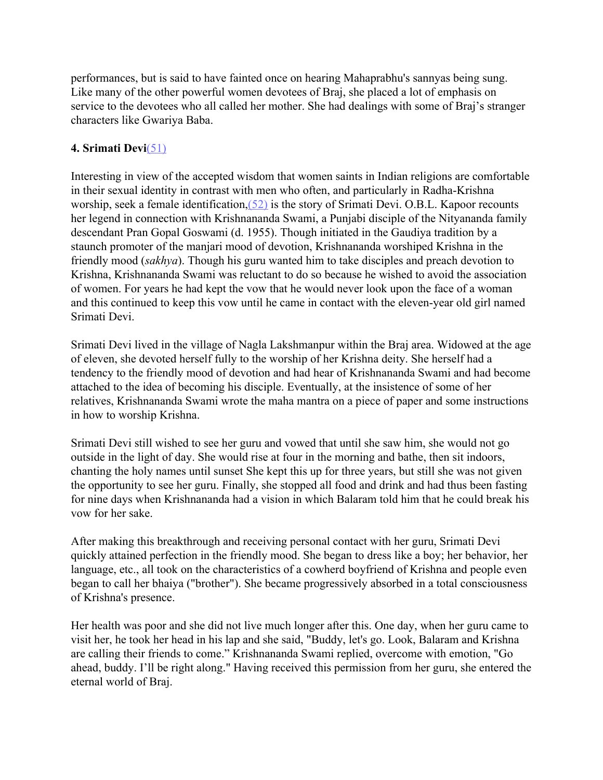performances, but is said to have fainted once on hearing Mahaprabhu's sannyas being sung. Like many of the other powerful women devotees of Braj, she placed a lot of emphasis on service to the devotees who all called her mother. She had dealings with some of Braj's stranger characters like Gwariya Baba.

# **4. Srimati Devi**[\(51\)](http://www.harekrsna.de/woman-saints.htm#51)

Interesting in view of the accepted wisdom that women saints in Indian religions are comfortable in their sexual identity in contrast with men who often, and particularly in Radha-Krishna worship, seek a female identification,[\(52\)](http://www.harekrsna.de/woman-saints.htm#52) is the story of Srimati Devi. O.B.L. Kapoor recounts her legend in connection with Krishnananda Swami, a Punjabi disciple of the Nityananda family descendant Pran Gopal Goswami (d. 1955). Though initiated in the Gaudiya tradition by a staunch promoter of the manjari mood of devotion, Krishnananda worshiped Krishna in the friendly mood (*sakhya*). Though his guru wanted him to take disciples and preach devotion to Krishna, Krishnananda Swami was reluctant to do so because he wished to avoid the association of women. For years he had kept the vow that he would never look upon the face of a woman and this continued to keep this vow until he came in contact with the eleven-year old girl named Srimati Devi.

Srimati Devi lived in the village of Nagla Lakshmanpur within the Braj area. Widowed at the age of eleven, she devoted herself fully to the worship of her Krishna deity. She herself had a tendency to the friendly mood of devotion and had hear of Krishnananda Swami and had become attached to the idea of becoming his disciple. Eventually, at the insistence of some of her relatives, Krishnananda Swami wrote the maha mantra on a piece of paper and some instructions in how to worship Krishna.

Srimati Devi still wished to see her guru and vowed that until she saw him, she would not go outside in the light of day. She would rise at four in the morning and bathe, then sit indoors, chanting the holy names until sunset She kept this up for three years, but still she was not given the opportunity to see her guru. Finally, she stopped all food and drink and had thus been fasting for nine days when Krishnananda had a vision in which Balaram told him that he could break his vow for her sake.

After making this breakthrough and receiving personal contact with her guru, Srimati Devi quickly attained perfection in the friendly mood. She began to dress like a boy; her behavior, her language, etc., all took on the characteristics of a cowherd boyfriend of Krishna and people even began to call her bhaiya ("brother"). She became progressively absorbed in a total consciousness of Krishna's presence.

Her health was poor and she did not live much longer after this. One day, when her guru came to visit her, he took her head in his lap and she said, "Buddy, let's go. Look, Balaram and Krishna are calling their friends to come." Krishnananda Swami replied, overcome with emotion, "Go ahead, buddy. I'll be right along." Having received this permission from her guru, she entered the eternal world of Braj.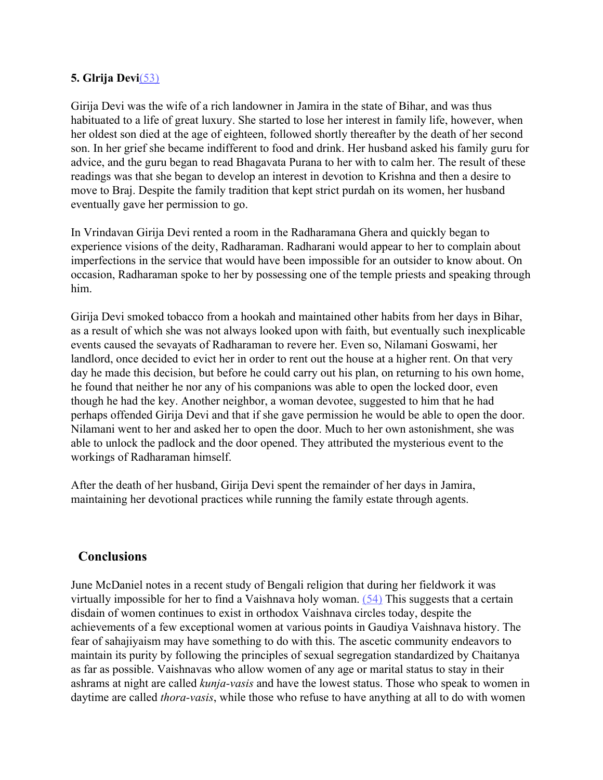### **5. Glrija Devi**[\(53\)](http://www.harekrsna.de/woman-saints.htm#53)

Girija Devi was the wife of a rich landowner in Jamira in the state of Bihar, and was thus habituated to a life of great luxury. She started to lose her interest in family life, however, when her oldest son died at the age of eighteen, followed shortly thereafter by the death of her second son. In her grief she became indifferent to food and drink. Her husband asked his family guru for advice, and the guru began to read Bhagavata Purana to her with to calm her. The result of these readings was that she began to develop an interest in devotion to Krishna and then a desire to move to Braj. Despite the family tradition that kept strict purdah on its women, her husband eventually gave her permission to go.

In Vrindavan Girija Devi rented a room in the Radharamana Ghera and quickly began to experience visions of the deity, Radharaman. Radharani would appear to her to complain about imperfections in the service that would have been impossible for an outsider to know about. On occasion, Radharaman spoke to her by possessing one of the temple priests and speaking through him.

Girija Devi smoked tobacco from a hookah and maintained other habits from her days in Bihar, as a result of which she was not always looked upon with faith, but eventually such inexplicable events caused the sevayats of Radharaman to revere her. Even so, Nilamani Goswami, her landlord, once decided to evict her in order to rent out the house at a higher rent. On that very day he made this decision, but before he could carry out his plan, on returning to his own home, he found that neither he nor any of his companions was able to open the locked door, even though he had the key. Another neighbor, a woman devotee, suggested to him that he had perhaps offended Girija Devi and that if she gave permission he would be able to open the door. Nilamani went to her and asked her to open the door. Much to her own astonishment, she was able to unlock the padlock and the door opened. They attributed the mysterious event to the workings of Radharaman himself.

After the death of her husband, Girija Devi spent the remainder of her days in Jamira, maintaining her devotional practices while running the family estate through agents.

### **Conclusions**

June McDaniel notes in a recent study of Bengali religion that during her fieldwork it was virtually impossible for her to find a Vaishnava holy woman. [\(54\)](http://www.harekrsna.de/woman-saints.htm#54) This suggests that a certain disdain of women continues to exist in orthodox Vaishnava circles today, despite the achievements of a few exceptional women at various points in Gaudiya Vaishnava history. The fear of sahajiyaism may have something to do with this. The ascetic community endeavors to maintain its purity by following the principles of sexual segregation standardized by Chaitanya as far as possible. Vaishnavas who allow women of any age or marital status to stay in their ashrams at night are called *kunja-vasis* and have the lowest status. Those who speak to women in daytime are called *thora-vasis*, while those who refuse to have anything at all to do with women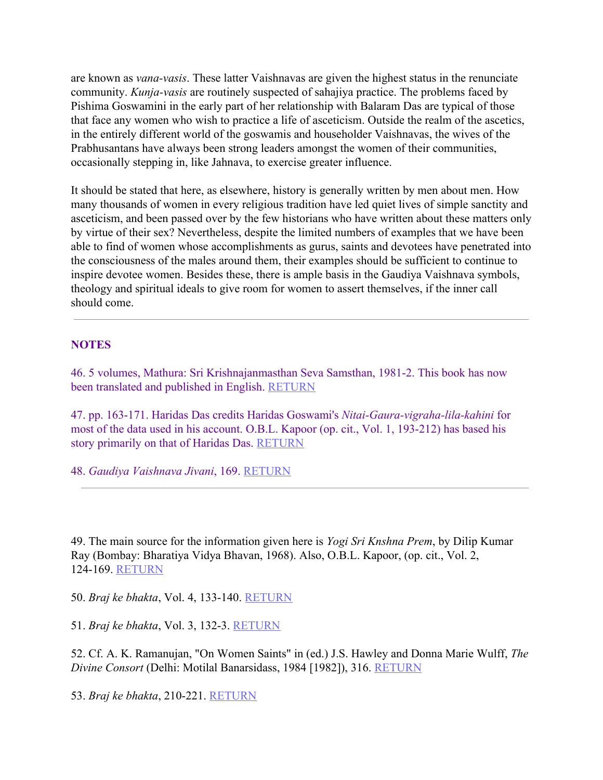are known as *vana-vasis*. These latter Vaishnavas are given the highest status in the renunciate community. *Kunja-vasis* are routinely suspected of sahajiya practice. The problems faced by Pishima Goswamini in the early part of her relationship with Balaram Das are typical of those that face any women who wish to practice a life of asceticism. Outside the realm of the ascetics, in the entirely different world of the goswamis and householder Vaishnavas, the wives of the Prabhusantans have always been strong leaders amongst the women of their communities, occasionally stepping in, like Jahnava, to exercise greater influence.

It should be stated that here, as elsewhere, history is generally written by men about men. How many thousands of women in every religious tradition have led quiet lives of simple sanctity and asceticism, and been passed over by the few historians who have written about these matters only by virtue of their sex? Nevertheless, despite the limited numbers of examples that we have been able to find of women whose accomplishments as gurus, saints and devotees have penetrated into the consciousness of the males around them, their examples should be sufficient to continue to inspire devotee women. Besides these, there is ample basis in the Gaudiya Vaishnava symbols, theology and spiritual ideals to give room for women to assert themselves, if the inner call should come.

#### **NOTES**

46. 5 volumes, Mathura: Sri Krishnajanmasthan Seva Samsthan, 1981-2. This book has now been translated and published in English. RETURN

47. pp. 163-171. Haridas Das credits Haridas Goswami's *Nitai-Gaura-vigraha-lila-kahini* for most of the data used in his account. O.B.L. Kapoor (op. cit., Vol. 1, 193-212) has based his story primarily on that of Haridas Das. RETURN

48. *Gaudiya Vaishnava Jivani*, 169. RETURN

49. The main source for the information given here is *Yogi Sri Knshna Prem*, by Dilip Kumar Ray (Bombay: Bharatiya Vidya Bhavan, 1968). Also, O.B.L. Kapoor, (op. cit., Vol. 2, 124-169. RETURN

50. *Braj ke bhakta*, Vol. 4, 133-140. RETURN

51. *Braj ke bhakta*, Vol. 3, 132-3. RETURN

52. Cf. A. K. Ramanujan, "On Women Saints" in (ed.) J.S. Hawley and Donna Marie Wulff, *The Divine Consort* (Delhi: Motilal Banarsidass, 1984 [1982]), 316. RETURN

53. *Braj ke bhakta*, 210-221. RETURN